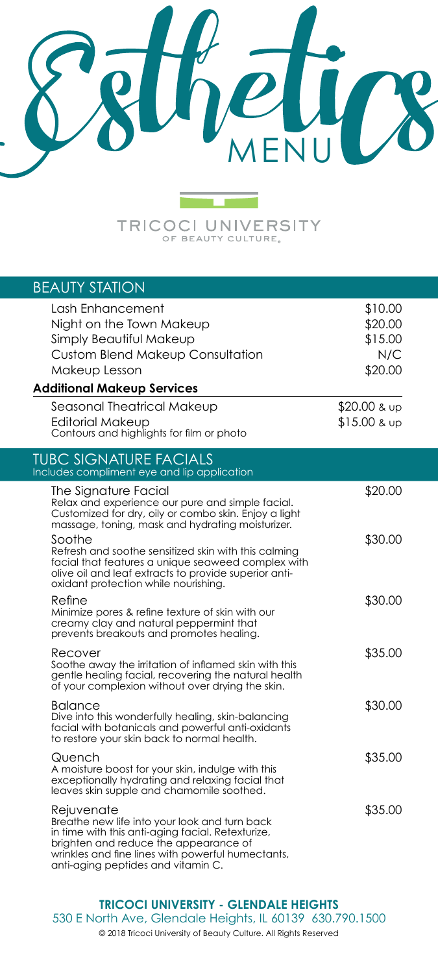

**TRICOCI UNIVERSITY** 

| <b>BEAUTY STATION</b>                                                                                                                                                                                                                                |                                                 |
|------------------------------------------------------------------------------------------------------------------------------------------------------------------------------------------------------------------------------------------------------|-------------------------------------------------|
| Lash Enhancement<br>Night on the Town Makeup<br>Simply Beautiful Makeup<br><b>Custom Blend Makeup Consultation</b><br>Makeup Lesson                                                                                                                  | \$10.00<br>\$20.00<br>\$15.00<br>N/C<br>\$20.00 |
| <b>Additional Makeup Services</b>                                                                                                                                                                                                                    |                                                 |
| Seasonal Theatrical Makeup<br>Editorial Makeup<br>Contours and highlights for film or photo                                                                                                                                                          | \$20.00 & up<br>$$15.00$ & up                   |
| <b>TUBC SIGNATURE FACIALS</b><br>Includes compliment eye and lip application                                                                                                                                                                         |                                                 |
| The Signature Facial<br>Relax and experience our pure and simple facial.<br>Customized for dry, oily or combo skin. Enjoy a light<br>massage, toning, mask and hydrating moisturizer.                                                                | \$20.00                                         |
| Soothe<br>Refresh and soothe sensitized skin with this calming<br>facial that features a unique seaweed complex with<br>olive oil and leaf extracts to provide superior anti-<br>oxidant protection while nourishing.                                | \$30.00                                         |
| Refine<br>Minimize pores & refine texture of skin with our<br>creamy clay and natural peppermint that<br>prevents breakouts and promotes healing.                                                                                                    | \$30.00                                         |
| Recover<br>Soothe away the irritation of inflamed skin with this<br>gentle healing facial, recovering the natural health<br>of your complexion without over drying the skin.                                                                         | \$35.00                                         |
| Balance<br>Dive into this wonderfully healing, skin-balancing<br>facial with botanicals and powerful anti-oxidants<br>to restore your skin back to normal health.                                                                                    | \$30.00                                         |
| Quench<br>A moisture boost for your skin, indulge with this<br>exceptionally hydrating and relaxing facial that<br>leaves skin supple and chamomile soothed.                                                                                         | \$35.00                                         |
| Rejuvenate<br>Breathe new life into your look and turn back<br>in time with this anti-aging facial. Retexturize,<br>brighten and reduce the appearance of<br>wrinkles and fine lines with powerful humectants,<br>anti-aging peptides and vitamin C. | \$35.00                                         |

**TRICOCI UNIVERSITY - GLENDALE HEIGHTS**

530 E North Ave, Glendale Heights, IL 60139 630.790.1500